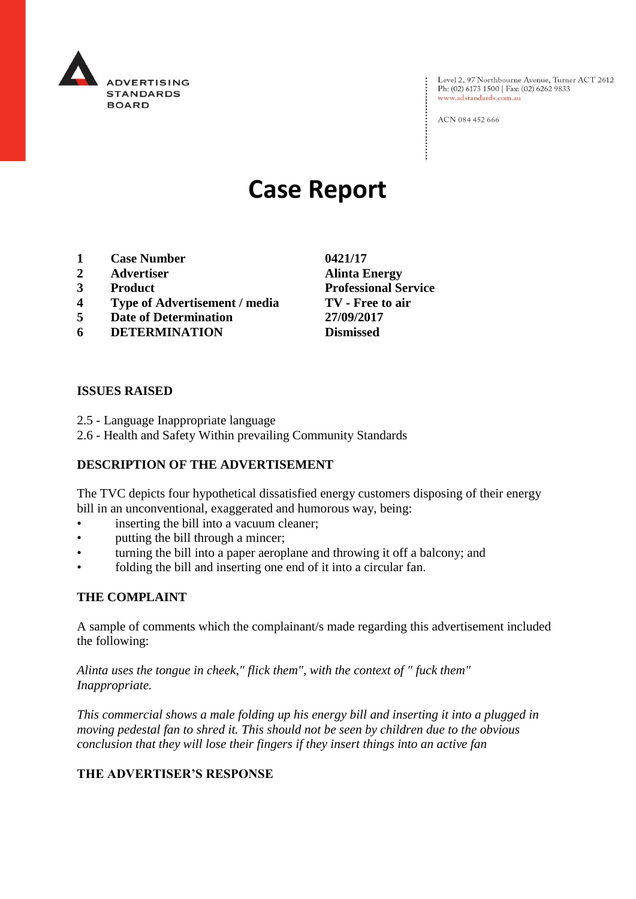

Level 2, 97 Northbourne Avenue, Turner ACT 2612<br>Ph: (02) 6173 1500 | Fax: (02) 6262 9833 www.adstandards.com.au

ACN 084 452 666

# **Case Report**

- **1 Case Number 0421/17**
- **2 Advertiser Alinta Energy**
- **3 Product Professional Service**
- **4 Type of Advertisement / media TV - Free to air**
- **5 Date of Determination 27/09/2017**
- **6 DETERMINATION Dismissed**

#### **ISSUES RAISED**

- 2.5 Language Inappropriate language
- 2.6 Health and Safety Within prevailing Community Standards

# **DESCRIPTION OF THE ADVERTISEMENT**

The TVC depicts four hypothetical dissatisfied energy customers disposing of their energy bill in an unconventional, exaggerated and humorous way, being:

- inserting the bill into a vacuum cleaner;
- putting the bill through a mincer;
- turning the bill into a paper aeroplane and throwing it off a balcony; and
- folding the bill and inserting one end of it into a circular fan.

#### **THE COMPLAINT**

A sample of comments which the complainant/s made regarding this advertisement included the following:

*Alinta uses the tongue in cheek," flick them", with the context of " fuck them" Inappropriate.*

*This commercial shows a male folding up his energy bill and inserting it into a plugged in moving pedestal fan to shred it. This should not be seen by children due to the obvious conclusion that they will lose their fingers if they insert things into an active fan*

# **THE ADVERTISER'S RESPONSE**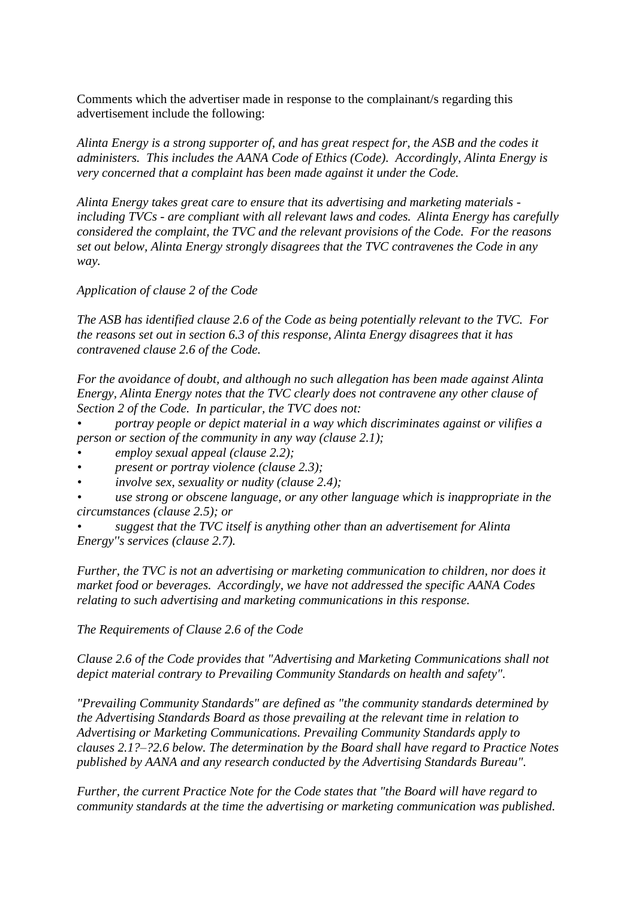Comments which the advertiser made in response to the complainant/s regarding this advertisement include the following:

*Alinta Energy is a strong supporter of, and has great respect for, the ASB and the codes it administers. This includes the AANA Code of Ethics (Code). Accordingly, Alinta Energy is very concerned that a complaint has been made against it under the Code.*

*Alinta Energy takes great care to ensure that its advertising and marketing materials including TVCs - are compliant with all relevant laws and codes. Alinta Energy has carefully considered the complaint, the TVC and the relevant provisions of the Code. For the reasons set out below, Alinta Energy strongly disagrees that the TVC contravenes the Code in any way.*

*Application of clause 2 of the Code*

*The ASB has identified clause 2.6 of the Code as being potentially relevant to the TVC. For the reasons set out in section 6.3 of this response, Alinta Energy disagrees that it has contravened clause 2.6 of the Code.*

*For the avoidance of doubt, and although no such allegation has been made against Alinta Energy, Alinta Energy notes that the TVC clearly does not contravene any other clause of Section 2 of the Code. In particular, the TVC does not:*

*• portray people or depict material in a way which discriminates against or vilifies a person or section of the community in any way (clause 2.1);*

- *• employ sexual appeal (clause 2.2);*
- *• present or portray violence (clause 2.3);*
- *• involve sex, sexuality or nudity (clause 2.4);*

*• use strong or obscene language, or any other language which is inappropriate in the circumstances (clause 2.5); or*

*• suggest that the TVC itself is anything other than an advertisement for Alinta Energy''s services (clause 2.7).*

*Further, the TVC is not an advertising or marketing communication to children, nor does it market food or beverages. Accordingly, we have not addressed the specific AANA Codes relating to such advertising and marketing communications in this response.*

*The Requirements of Clause 2.6 of the Code*

*Clause 2.6 of the Code provides that "Advertising and Marketing Communications shall not depict material contrary to Prevailing Community Standards on health and safety".*

*"Prevailing Community Standards" are defined as "the community standards determined by the Advertising Standards Board as those prevailing at the relevant time in relation to Advertising or Marketing Communications. Prevailing Community Standards apply to clauses 2.1?–?2.6 below. The determination by the Board shall have regard to Practice Notes published by AANA and any research conducted by the Advertising Standards Bureau".*

*Further, the current Practice Note for the Code states that "the Board will have regard to community standards at the time the advertising or marketing communication was published.*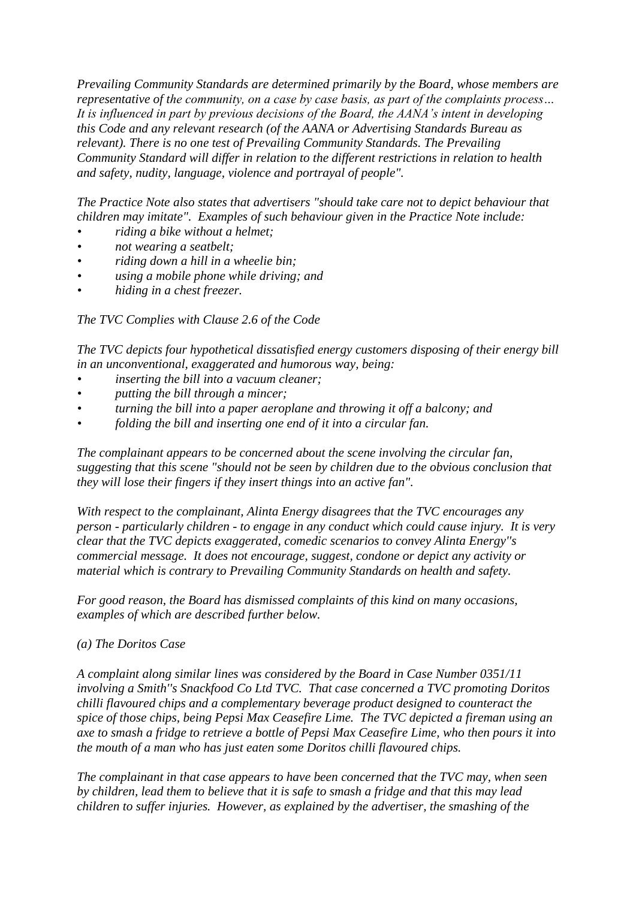*Prevailing Community Standards are determined primarily by the Board, whose members are representative of the community, on a case by case basis, as part of the complaints process… It is influenced in part by previous decisions of the Board, the AANA's intent in developing this Code and any relevant research (of the AANA or Advertising Standards Bureau as relevant). There is no one test of Prevailing Community Standards. The Prevailing Community Standard will differ in relation to the different restrictions in relation to health and safety, nudity, language, violence and portrayal of people".*

*The Practice Note also states that advertisers "should take care not to depict behaviour that children may imitate". Examples of such behaviour given in the Practice Note include:*

- *• riding a bike without a helmet;*
- *• not wearing a seatbelt;*
- *• riding down a hill in a wheelie bin;*
- *• using a mobile phone while driving; and*
- *• hiding in a chest freezer.*

*The TVC Complies with Clause 2.6 of the Code*

*The TVC depicts four hypothetical dissatisfied energy customers disposing of their energy bill in an unconventional, exaggerated and humorous way, being:*

- *• inserting the bill into a vacuum cleaner;*
- *• putting the bill through a mincer;*
- *• turning the bill into a paper aeroplane and throwing it off a balcony; and*
- *• folding the bill and inserting one end of it into a circular fan.*

*The complainant appears to be concerned about the scene involving the circular fan, suggesting that this scene "should not be seen by children due to the obvious conclusion that they will lose their fingers if they insert things into an active fan".*

*With respect to the complainant, Alinta Energy disagrees that the TVC encourages any person - particularly children - to engage in any conduct which could cause injury. It is very clear that the TVC depicts exaggerated, comedic scenarios to convey Alinta Energy''s commercial message. It does not encourage, suggest, condone or depict any activity or material which is contrary to Prevailing Community Standards on health and safety.*

*For good reason, the Board has dismissed complaints of this kind on many occasions, examples of which are described further below.*

# *(a) The Doritos Case*

*A complaint along similar lines was considered by the Board in Case Number 0351/11 involving a Smith''s Snackfood Co Ltd TVC. That case concerned a TVC promoting Doritos chilli flavoured chips and a complementary beverage product designed to counteract the spice of those chips, being Pepsi Max Ceasefire Lime. The TVC depicted a fireman using an axe to smash a fridge to retrieve a bottle of Pepsi Max Ceasefire Lime, who then pours it into the mouth of a man who has just eaten some Doritos chilli flavoured chips.*

*The complainant in that case appears to have been concerned that the TVC may, when seen by children, lead them to believe that it is safe to smash a fridge and that this may lead children to suffer injuries. However, as explained by the advertiser, the smashing of the*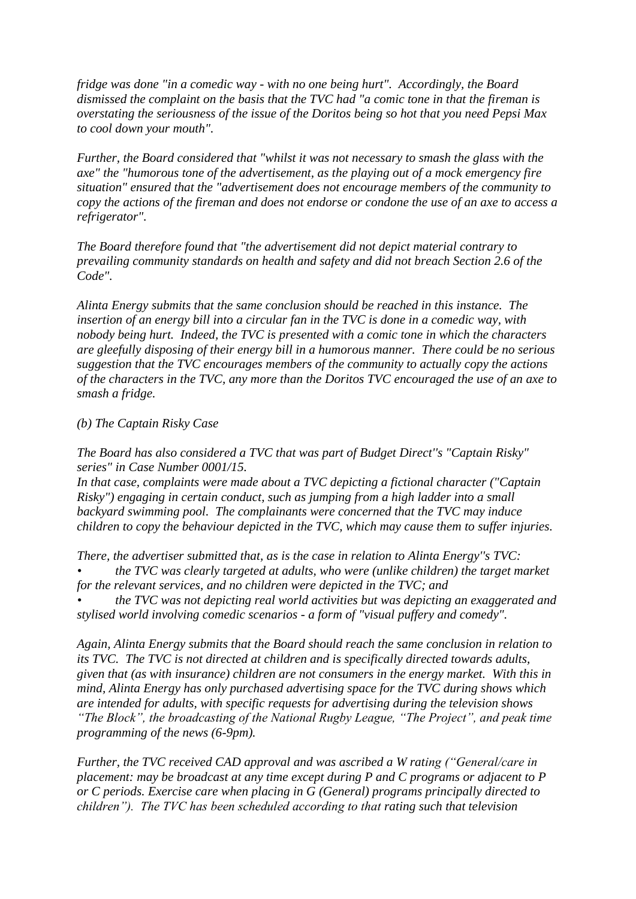*fridge was done "in a comedic way - with no one being hurt". Accordingly, the Board dismissed the complaint on the basis that the TVC had "a comic tone in that the fireman is overstating the seriousness of the issue of the Doritos being so hot that you need Pepsi Max to cool down your mouth".*

*Further, the Board considered that "whilst it was not necessary to smash the glass with the axe" the "humorous tone of the advertisement, as the playing out of a mock emergency fire situation" ensured that the "advertisement does not encourage members of the community to copy the actions of the fireman and does not endorse or condone the use of an axe to access a refrigerator".*

*The Board therefore found that "the advertisement did not depict material contrary to prevailing community standards on health and safety and did not breach Section 2.6 of the Code".*

*Alinta Energy submits that the same conclusion should be reached in this instance. The insertion of an energy bill into a circular fan in the TVC is done in a comedic way, with nobody being hurt. Indeed, the TVC is presented with a comic tone in which the characters are gleefully disposing of their energy bill in a humorous manner. There could be no serious suggestion that the TVC encourages members of the community to actually copy the actions of the characters in the TVC, any more than the Doritos TVC encouraged the use of an axe to smash a fridge.*

#### *(b) The Captain Risky Case*

*The Board has also considered a TVC that was part of Budget Direct''s "Captain Risky" series" in Case Number 0001/15.*

*In that case, complaints were made about a TVC depicting a fictional character ("Captain Risky") engaging in certain conduct, such as jumping from a high ladder into a small backyard swimming pool. The complainants were concerned that the TVC may induce children to copy the behaviour depicted in the TVC, which may cause them to suffer injuries.*

*There, the advertiser submitted that, as is the case in relation to Alinta Energy''s TVC:*

*• the TVC was clearly targeted at adults, who were (unlike children) the target market for the relevant services, and no children were depicted in the TVC; and*

*• the TVC was not depicting real world activities but was depicting an exaggerated and stylised world involving comedic scenarios - a form of "visual puffery and comedy".*

*Again, Alinta Energy submits that the Board should reach the same conclusion in relation to its TVC. The TVC is not directed at children and is specifically directed towards adults, given that (as with insurance) children are not consumers in the energy market. With this in mind, Alinta Energy has only purchased advertising space for the TVC during shows which are intended for adults, with specific requests for advertising during the television shows "The Block", the broadcasting of the National Rugby League, "The Project", and peak time programming of the news (6-9pm).*

*Further, the TVC received CAD approval and was ascribed a W rating ("General/care in placement: may be broadcast at any time except during P and C programs or adjacent to P or C periods. Exercise care when placing in G (General) programs principally directed to children"). The TVC has been scheduled according to that rating such that television*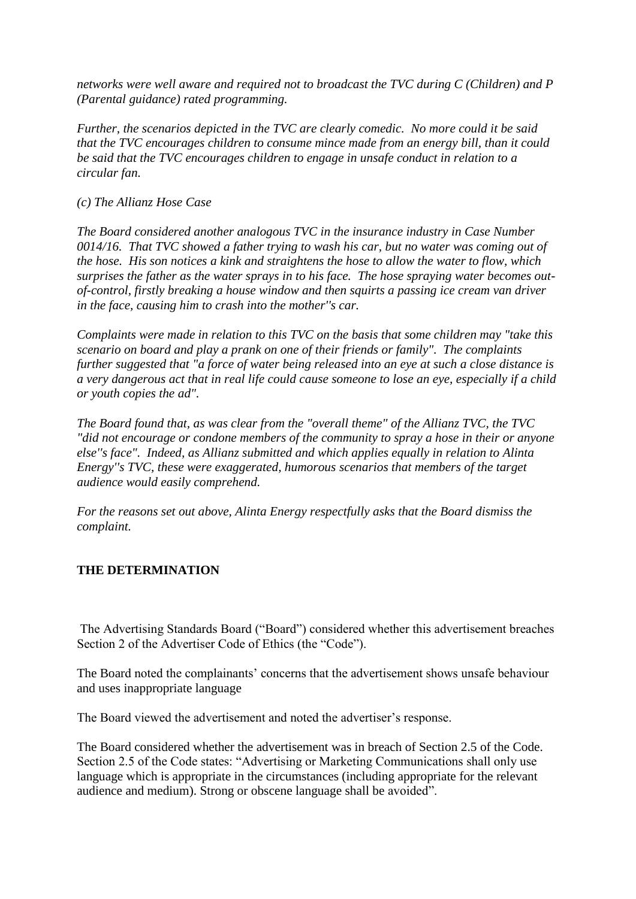*networks were well aware and required not to broadcast the TVC during C (Children) and P (Parental guidance) rated programming.*

*Further, the scenarios depicted in the TVC are clearly comedic. No more could it be said that the TVC encourages children to consume mince made from an energy bill, than it could be said that the TVC encourages children to engage in unsafe conduct in relation to a circular fan.*

#### *(c) The Allianz Hose Case*

*The Board considered another analogous TVC in the insurance industry in Case Number 0014/16. That TVC showed a father trying to wash his car, but no water was coming out of the hose. His son notices a kink and straightens the hose to allow the water to flow, which surprises the father as the water sprays in to his face. The hose spraying water becomes outof-control, firstly breaking a house window and then squirts a passing ice cream van driver in the face, causing him to crash into the mother''s car.*

*Complaints were made in relation to this TVC on the basis that some children may "take this scenario on board and play a prank on one of their friends or family". The complaints further suggested that "a force of water being released into an eye at such a close distance is a very dangerous act that in real life could cause someone to lose an eye, especially if a child or youth copies the ad".*

*The Board found that, as was clear from the "overall theme" of the Allianz TVC, the TVC "did not encourage or condone members of the community to spray a hose in their or anyone else''s face". Indeed, as Allianz submitted and which applies equally in relation to Alinta Energy''s TVC, these were exaggerated, humorous scenarios that members of the target audience would easily comprehend.*

*For the reasons set out above, Alinta Energy respectfully asks that the Board dismiss the complaint.*

# **THE DETERMINATION**

The Advertising Standards Board ("Board") considered whether this advertisement breaches Section 2 of the Advertiser Code of Ethics (the "Code").

The Board noted the complainants' concerns that the advertisement shows unsafe behaviour and uses inappropriate language

The Board viewed the advertisement and noted the advertiser's response.

The Board considered whether the advertisement was in breach of Section 2.5 of the Code. Section 2.5 of the Code states: "Advertising or Marketing Communications shall only use language which is appropriate in the circumstances (including appropriate for the relevant audience and medium). Strong or obscene language shall be avoided".